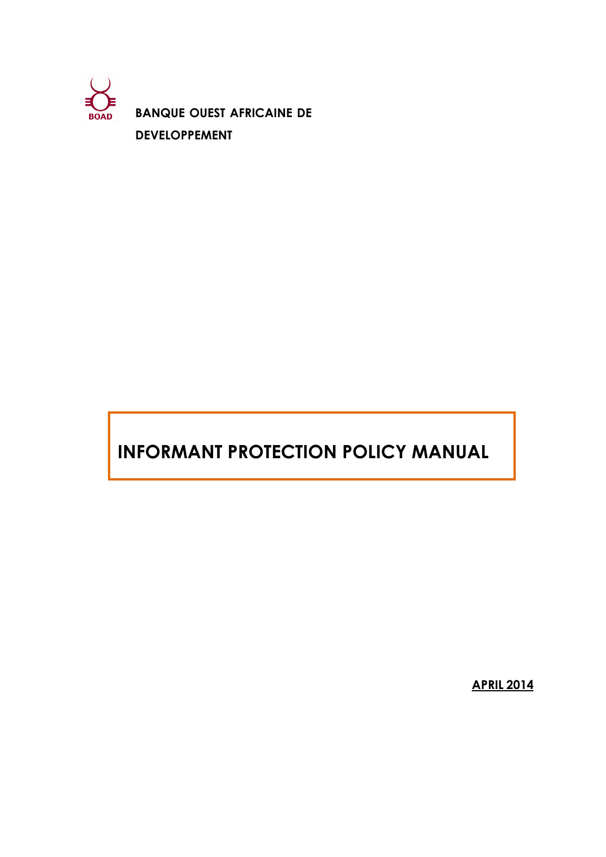

**BANQUE OUEST AFRICAINE DE DEVELOPPEMENT**

# **INFORMANT PROTECTION POLICY MANUAL**

**APRIL 2014**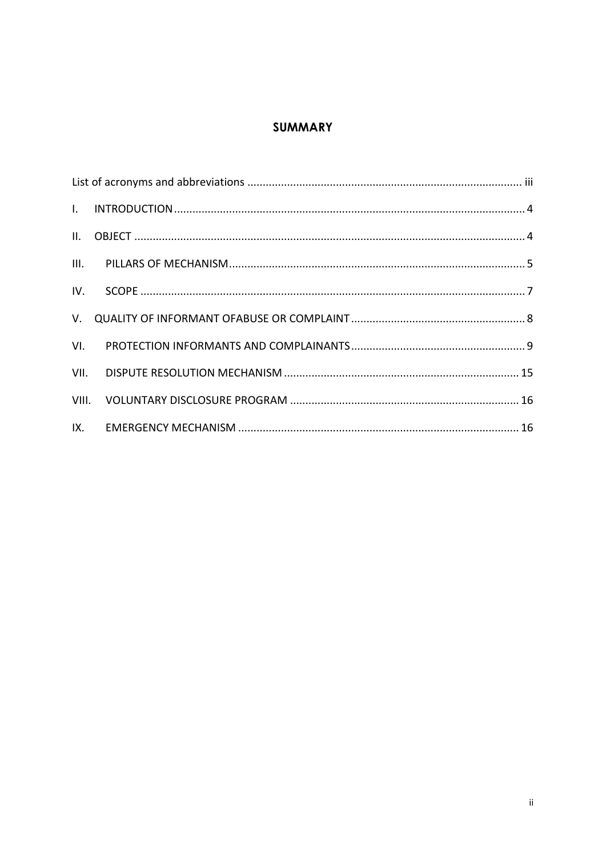# **SUMMARY**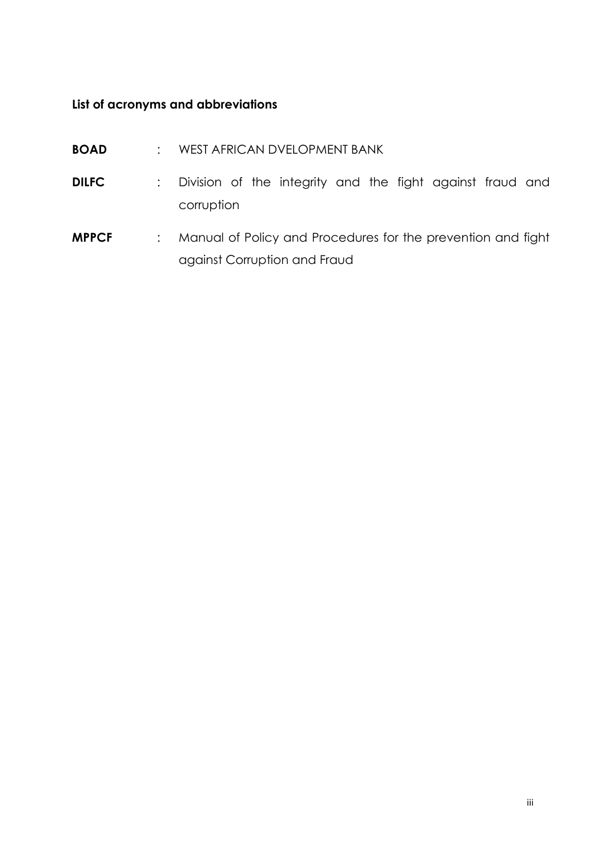# <span id="page-2-0"></span>**List of acronyms and abbreviations**

- **BOAD** : WEST AFRICAN DVELOPMENT BANK
- **DILFC** : Division of the integrity and the fight against fraud and corruption
- **MPPCF** : Manual of Policy and Procedures for the prevention and fight against Corruption and Fraud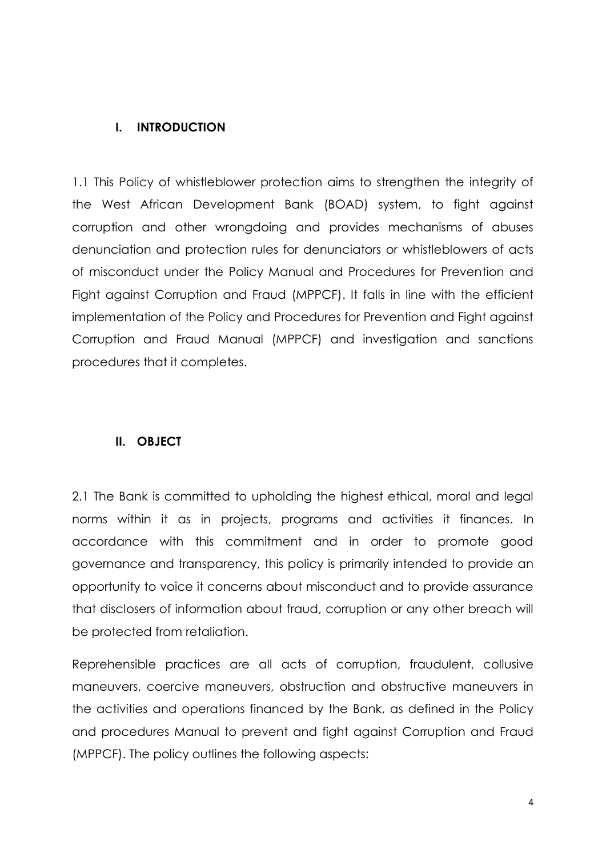# <span id="page-3-0"></span>**I. INTRODUCTION**

1.1 This Policy of whistleblower protection aims to strengthen the integrity of the West African Development Bank (BOAD) system, to fight against corruption and other wrongdoing and provides mechanisms of abuses denunciation and protection rules for denunciators or whistleblowers of acts of misconduct under the Policy Manual and Procedures for Prevention and Fight against Corruption and Fraud (MPPCF). It falls in line with the efficient implementation of the Policy and Procedures for Prevention and Fight against Corruption and Fraud Manual (MPPCF) and investigation and sanctions procedures that it completes.

## <span id="page-3-1"></span>**II. OBJECT**

2.1 The Bank is committed to upholding the highest ethical, moral and legal norms within it as in projects, programs and activities it finances. In accordance with this commitment and in order to promote good governance and transparency, this policy is primarily intended to provide an opportunity to voice it concerns about misconduct and to provide assurance that disclosers of information about fraud, corruption or any other breach will be protected from retaliation.

Reprehensible practices are all acts of corruption, fraudulent, collusive maneuvers, coercive maneuvers, obstruction and obstructive maneuvers in the activities and operations financed by the Bank, as defined in the Policy and procedures Manual to prevent and fight against Corruption and Fraud (MPPCF). The policy outlines the following aspects: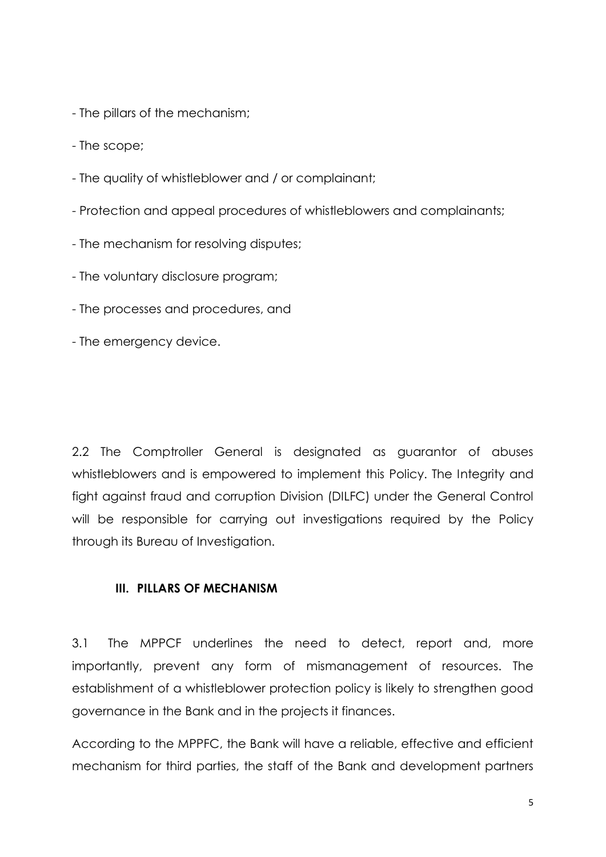- The pillars of the mechanism;
- The scope;
- The quality of whistleblower and / or complainant;
- Protection and appeal procedures of whistleblowers and complainants;
- The mechanism for resolving disputes;
- The voluntary disclosure program;
- The processes and procedures, and
- The emergency device.

2.2 The Comptroller General is designated as guarantor of abuses whistleblowers and is empowered to implement this Policy. The Integrity and fight against fraud and corruption Division (DILFC) under the General Control will be responsible for carrying out investigations required by the Policy through its Bureau of Investigation.

## <span id="page-4-0"></span>**III. PILLARS OF MECHANISM**

3.1 The MPPCF underlines the need to detect, report and, more importantly, prevent any form of mismanagement of resources. The establishment of a whistleblower protection policy is likely to strengthen good governance in the Bank and in the projects it finances.

According to the MPPFC, the Bank will have a reliable, effective and efficient mechanism for third parties, the staff of the Bank and development partners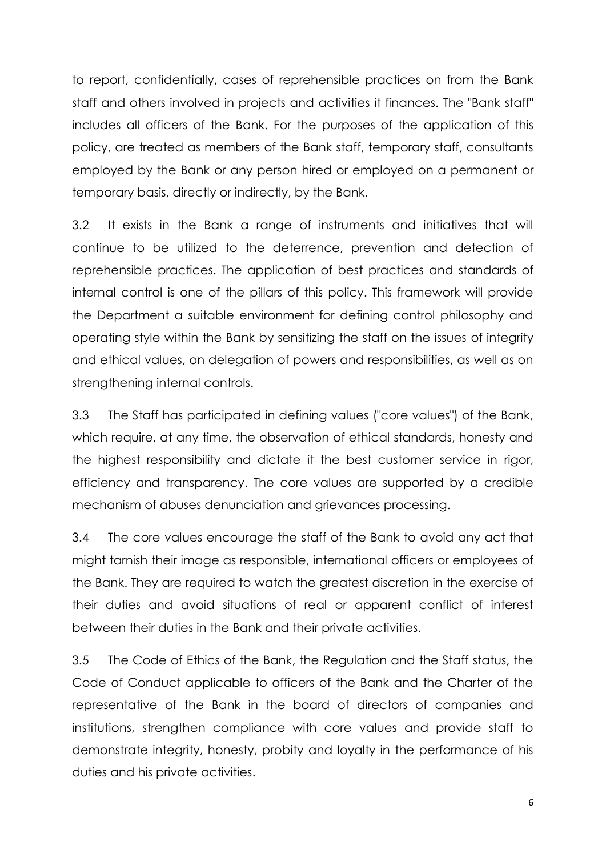to report, confidentially, cases of reprehensible practices on from the Bank staff and others involved in projects and activities it finances. The "Bank staff" includes all officers of the Bank. For the purposes of the application of this policy, are treated as members of the Bank staff, temporary staff, consultants employed by the Bank or any person hired or employed on a permanent or temporary basis, directly or indirectly, by the Bank.

3.2 It exists in the Bank a range of instruments and initiatives that will continue to be utilized to the deterrence, prevention and detection of reprehensible practices. The application of best practices and standards of internal control is one of the pillars of this policy. This framework will provide the Department a suitable environment for defining control philosophy and operating style within the Bank by sensitizing the staff on the issues of integrity and ethical values, on delegation of powers and responsibilities, as well as on strengthening internal controls.

3.3 The Staff has participated in defining values ("core values") of the Bank, which require, at any time, the observation of ethical standards, honesty and the highest responsibility and dictate it the best customer service in rigor, efficiency and transparency. The core values are supported by a credible mechanism of abuses denunciation and grievances processing.

3.4 The core values encourage the staff of the Bank to avoid any act that might tarnish their image as responsible, international officers or employees of the Bank. They are required to watch the greatest discretion in the exercise of their duties and avoid situations of real or apparent conflict of interest between their duties in the Bank and their private activities.

3.5 The Code of Ethics of the Bank, the Regulation and the Staff status, the Code of Conduct applicable to officers of the Bank and the Charter of the representative of the Bank in the board of directors of companies and institutions, strengthen compliance with core values and provide staff to demonstrate integrity, honesty, probity and loyalty in the performance of his duties and his private activities.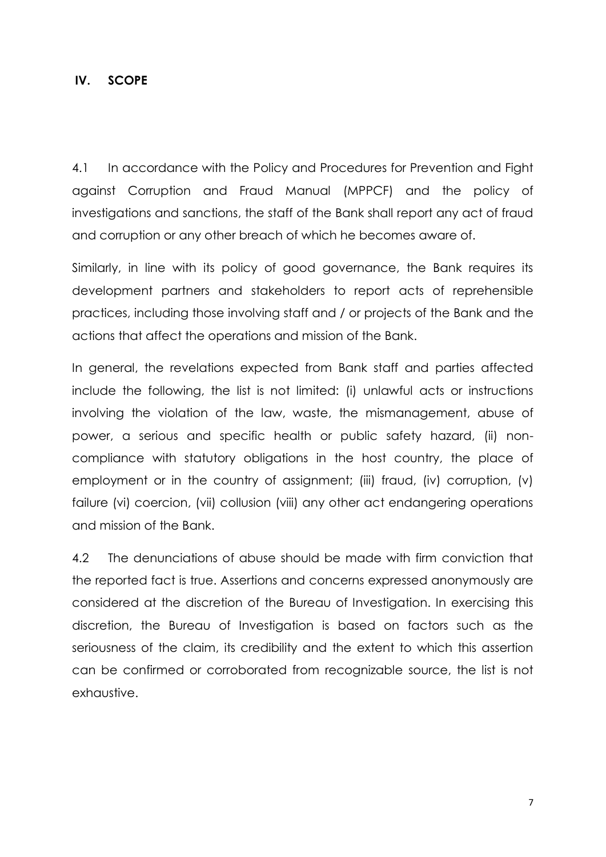#### <span id="page-6-0"></span>**IV. SCOPE**

4.1 In accordance with the Policy and Procedures for Prevention and Fight against Corruption and Fraud Manual (MPPCF) and the policy of investigations and sanctions, the staff of the Bank shall report any act of fraud and corruption or any other breach of which he becomes aware of.

Similarly, in line with its policy of good governance, the Bank requires its development partners and stakeholders to report acts of reprehensible practices, including those involving staff and / or projects of the Bank and the actions that affect the operations and mission of the Bank.

In general, the revelations expected from Bank staff and parties affected include the following, the list is not limited: (i) unlawful acts or instructions involving the violation of the law, waste, the mismanagement, abuse of power, a serious and specific health or public safety hazard, (ii) noncompliance with statutory obligations in the host country, the place of employment or in the country of assignment; (iii) fraud, (iv) corruption, (v) failure (vi) coercion, (vii) collusion (viii) any other act endangering operations and mission of the Bank.

4.2 The denunciations of abuse should be made with firm conviction that the reported fact is true. Assertions and concerns expressed anonymously are considered at the discretion of the Bureau of Investigation. In exercising this discretion, the Bureau of Investigation is based on factors such as the seriousness of the claim, its credibility and the extent to which this assertion can be confirmed or corroborated from recognizable source, the list is not exhaustive.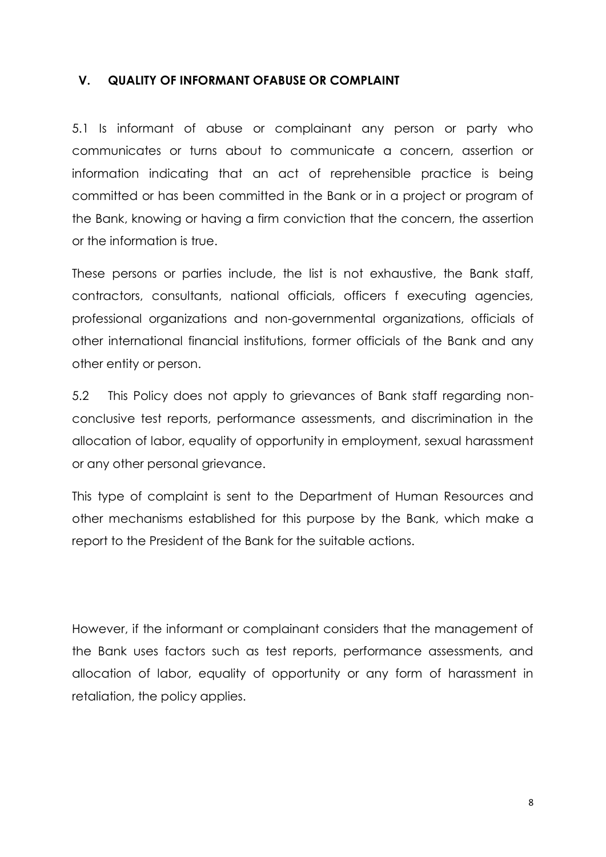## <span id="page-7-0"></span>**V. QUALITY OF INFORMANT OFABUSE OR COMPLAINT**

5.1 Is informant of abuse or complainant any person or party who communicates or turns about to communicate a concern, assertion or information indicating that an act of reprehensible practice is being committed or has been committed in the Bank or in a project or program of the Bank, knowing or having a firm conviction that the concern, the assertion or the information is true.

These persons or parties include, the list is not exhaustive, the Bank staff, contractors, consultants, national officials, officers f executing agencies, professional organizations and non-governmental organizations, officials of other international financial institutions, former officials of the Bank and any other entity or person.

5.2 This Policy does not apply to grievances of Bank staff regarding nonconclusive test reports, performance assessments, and discrimination in the allocation of labor, equality of opportunity in employment, sexual harassment or any other personal grievance.

This type of complaint is sent to the Department of Human Resources and other mechanisms established for this purpose by the Bank, which make a report to the President of the Bank for the suitable actions.

However, if the informant or complainant considers that the management of the Bank uses factors such as test reports, performance assessments, and allocation of labor, equality of opportunity or any form of harassment in retaliation, the policy applies.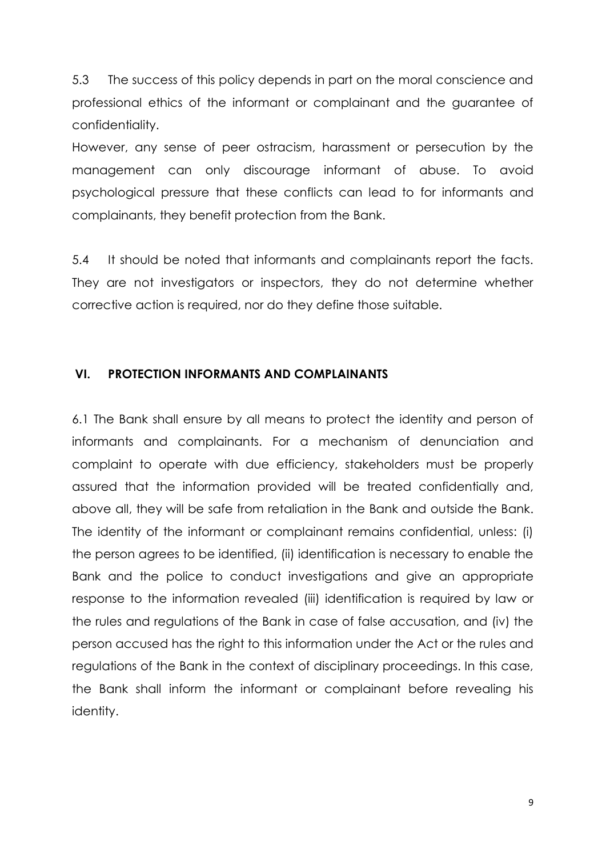5.3 The success of this policy depends in part on the moral conscience and professional ethics of the informant or complainant and the guarantee of confidentiality.

However, any sense of peer ostracism, harassment or persecution by the management can only discourage informant of abuse. To avoid psychological pressure that these conflicts can lead to for informants and complainants, they benefit protection from the Bank.

5.4 It should be noted that informants and complainants report the facts. They are not investigators or inspectors, they do not determine whether corrective action is required, nor do they define those suitable.

#### <span id="page-8-0"></span>**VI. PROTECTION INFORMANTS AND COMPLAINANTS**

6.1 The Bank shall ensure by all means to protect the identity and person of informants and complainants. For a mechanism of denunciation and complaint to operate with due efficiency, stakeholders must be properly assured that the information provided will be treated confidentially and, above all, they will be safe from retaliation in the Bank and outside the Bank. The identity of the informant or complainant remains confidential, unless: (i) the person agrees to be identified, (ii) identification is necessary to enable the Bank and the police to conduct investigations and give an appropriate response to the information revealed (iii) identification is required by law or the rules and regulations of the Bank in case of false accusation, and (iv) the person accused has the right to this information under the Act or the rules and regulations of the Bank in the context of disciplinary proceedings. In this case, the Bank shall inform the informant or complainant before revealing his identity.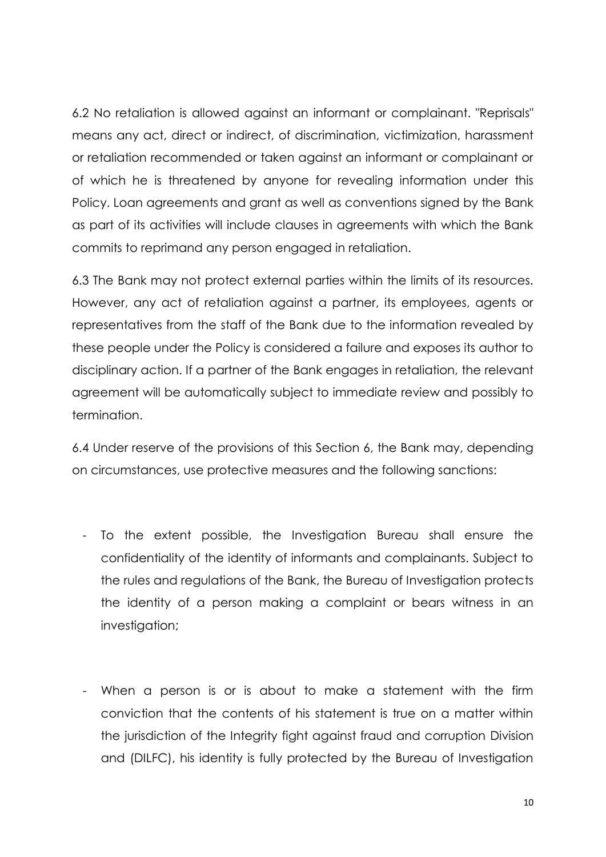6.2 No retaliation is allowed against an informant or complainant. "Reprisals" means any act, direct or indirect, of discrimination, victimization, harassment or retaliation recommended or taken against an informant or complainant or of which he is threatened by anyone for revealing information under this Policy. Loan agreements and grant as well as conventions signed by the Bank as part of its activities will include clauses in agreements with which the Bank commits to reprimand any person engaged in retaliation.

6.3 The Bank may not protect external parties within the limits of its resources. However, any act of retaliation against a partner, its employees, agents or representatives from the staff of the Bank due to the information revealed by these people under the Policy is considered a failure and exposes its author to disciplinary action. If a partner of the Bank engages in retaliation, the relevant agreement will be automatically subject to immediate review and possibly to termination.

6.4 Under reserve of the provisions of this Section 6, the Bank may, depending on circumstances, use protective measures and the following sanctions:

- To the extent possible, the Investigation Bureau shall ensure the confidentiality of the identity of informants and complainants. Subject to the rules and regulations of the Bank, the Bureau of Investigation protects the identity of a person making a complaint or bears witness in an investigation;
- When a person is or is about to make a statement with the firm conviction that the contents of his statement is true on a matter within the jurisdiction of the Integrity fight against fraud and corruption Division and (DILFC), his identity is fully protected by the Bureau of Investigation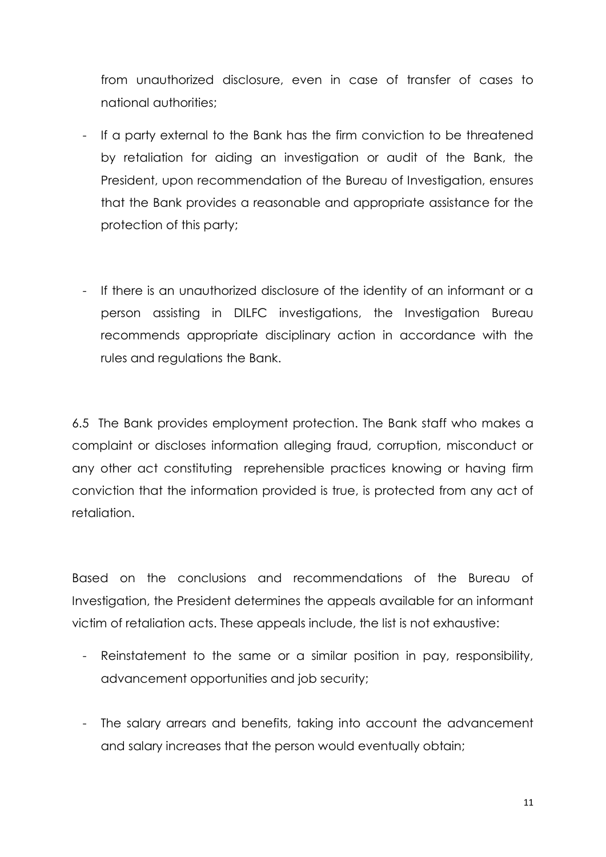from unauthorized disclosure, even in case of transfer of cases to national authorities;

- If a party external to the Bank has the firm conviction to be threatened by retaliation for aiding an investigation or audit of the Bank, the President, upon recommendation of the Bureau of Investigation, ensures that the Bank provides a reasonable and appropriate assistance for the protection of this party;
- If there is an unauthorized disclosure of the identity of an informant or a person assisting in DILFC investigations, the Investigation Bureau recommends appropriate disciplinary action in accordance with the rules and regulations the Bank.

6.5 The Bank provides employment protection. The Bank staff who makes a complaint or discloses information alleging fraud, corruption, misconduct or any other act constituting reprehensible practices knowing or having firm conviction that the information provided is true, is protected from any act of retaliation.

Based on the conclusions and recommendations of the Bureau of Investigation, the President determines the appeals available for an informant victim of retaliation acts. These appeals include, the list is not exhaustive:

- Reinstatement to the same or a similar position in pay, responsibility, advancement opportunities and job security;
- The salary arrears and benefits, taking into account the advancement and salary increases that the person would eventually obtain;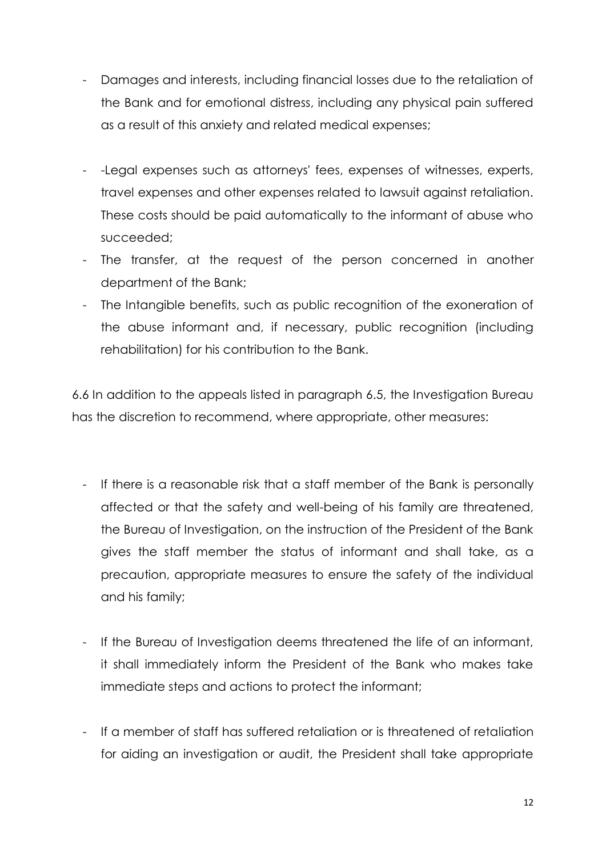- Damages and interests, including financial losses due to the retaliation of the Bank and for emotional distress, including any physical pain suffered as a result of this anxiety and related medical expenses;
- -Legal expenses such as attorneys' fees, expenses of witnesses, experts, travel expenses and other expenses related to lawsuit against retaliation. These costs should be paid automatically to the informant of abuse who succeeded;
- The transfer, at the request of the person concerned in another department of the Bank;
- The Intangible benefits, such as public recognition of the exoneration of the abuse informant and, if necessary, public recognition (including rehabilitation) for his contribution to the Bank.

6.6 In addition to the appeals listed in paragraph 6.5, the Investigation Bureau has the discretion to recommend, where appropriate, other measures:

- If there is a reasonable risk that a staff member of the Bank is personally affected or that the safety and well-being of his family are threatened, the Bureau of Investigation, on the instruction of the President of the Bank gives the staff member the status of informant and shall take, as a precaution, appropriate measures to ensure the safety of the individual and his family;
- If the Bureau of Investigation deems threatened the life of an informant, it shall immediately inform the President of the Bank who makes take immediate steps and actions to protect the informant;
- If a member of staff has suffered retaliation or is threatened of retaliation for aiding an investigation or audit, the President shall take appropriate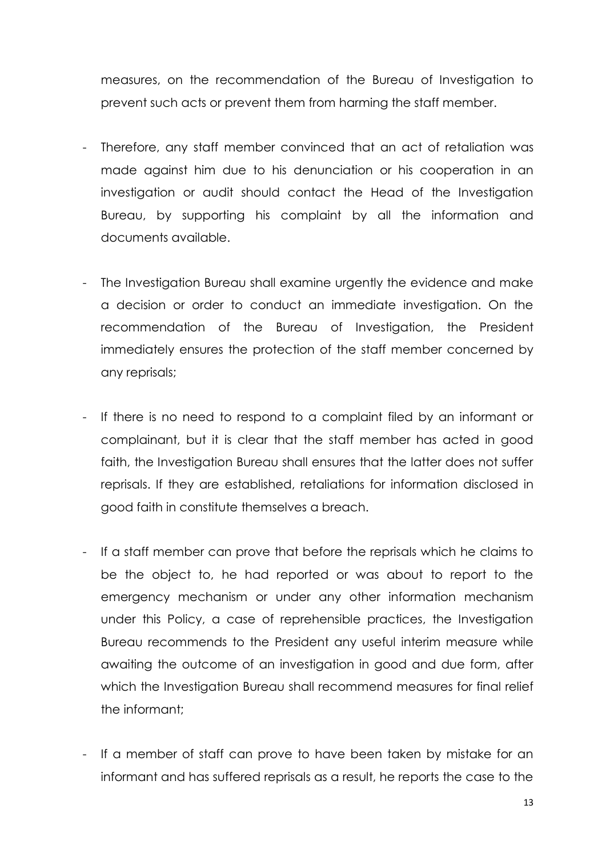measures, on the recommendation of the Bureau of Investigation to prevent such acts or prevent them from harming the staff member.

- Therefore, any staff member convinced that an act of retaliation was made against him due to his denunciation or his cooperation in an investigation or audit should contact the Head of the Investigation Bureau, by supporting his complaint by all the information and documents available.
- The Investigation Bureau shall examine urgently the evidence and make a decision or order to conduct an immediate investigation. On the recommendation of the Bureau of Investigation, the President immediately ensures the protection of the staff member concerned by any reprisals;
- If there is no need to respond to a complaint filed by an informant or complainant, but it is clear that the staff member has acted in good faith, the Investigation Bureau shall ensures that the latter does not suffer reprisals. If they are established, retaliations for information disclosed in good faith in constitute themselves a breach.
- If a staff member can prove that before the reprisals which he claims to be the object to, he had reported or was about to report to the emergency mechanism or under any other information mechanism under this Policy, a case of reprehensible practices, the Investigation Bureau recommends to the President any useful interim measure while awaiting the outcome of an investigation in good and due form, after which the Investigation Bureau shall recommend measures for final relief the informant;
- If a member of staff can prove to have been taken by mistake for an informant and has suffered reprisals as a result, he reports the case to the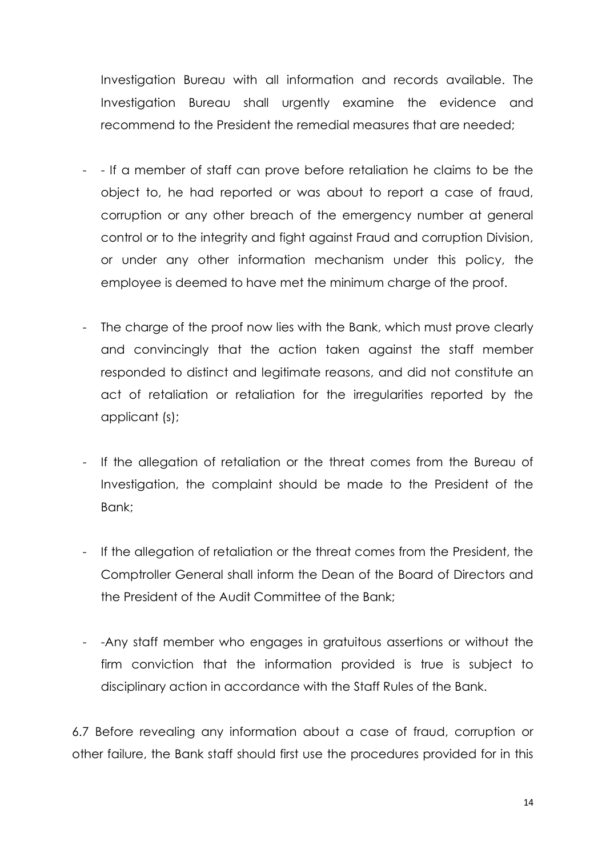Investigation Bureau with all information and records available. The Investigation Bureau shall urgently examine the evidence and recommend to the President the remedial measures that are needed;

- - If a member of staff can prove before retaliation he claims to be the object to, he had reported or was about to report a case of fraud, corruption or any other breach of the emergency number at general control or to the integrity and fight against Fraud and corruption Division, or under any other information mechanism under this policy, the employee is deemed to have met the minimum charge of the proof.
- The charge of the proof now lies with the Bank, which must prove clearly and convincingly that the action taken against the staff member responded to distinct and legitimate reasons, and did not constitute an act of retaliation or retaliation for the irregularities reported by the applicant (s);
- If the allegation of retaliation or the threat comes from the Bureau of Investigation, the complaint should be made to the President of the Bank;
- If the allegation of retaliation or the threat comes from the President, the Comptroller General shall inform the Dean of the Board of Directors and the President of the Audit Committee of the Bank;
- -Any staff member who engages in gratuitous assertions or without the firm conviction that the information provided is true is subject to disciplinary action in accordance with the Staff Rules of the Bank.

6.7 Before revealing any information about a case of fraud, corruption or other failure, the Bank staff should first use the procedures provided for in this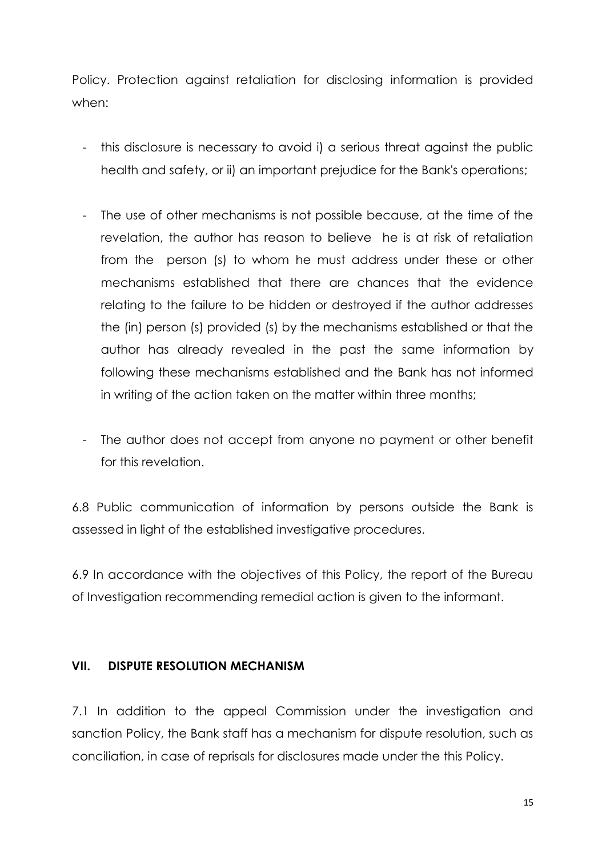Policy. Protection against retaliation for disclosing information is provided when:

- this disclosure is necessary to avoid i) a serious threat against the public health and safety, or ii) an important prejudice for the Bank's operations;
- The use of other mechanisms is not possible because, at the time of the revelation, the author has reason to believe he is at risk of retaliation from the person (s) to whom he must address under these or other mechanisms established that there are chances that the evidence relating to the failure to be hidden or destroyed if the author addresses the (in) person (s) provided (s) by the mechanisms established or that the author has already revealed in the past the same information by following these mechanisms established and the Bank has not informed in writing of the action taken on the matter within three months;
- The author does not accept from anyone no payment or other benefit for this revelation.

6.8 Public communication of information by persons outside the Bank is assessed in light of the established investigative procedures.

6.9 In accordance with the objectives of this Policy, the report of the Bureau of Investigation recommending remedial action is given to the informant.

## <span id="page-14-0"></span>**VII. DISPUTE RESOLUTION MECHANISM**

7.1 In addition to the appeal Commission under the investigation and sanction Policy, the Bank staff has a mechanism for dispute resolution, such as conciliation, in case of reprisals for disclosures made under the this Policy.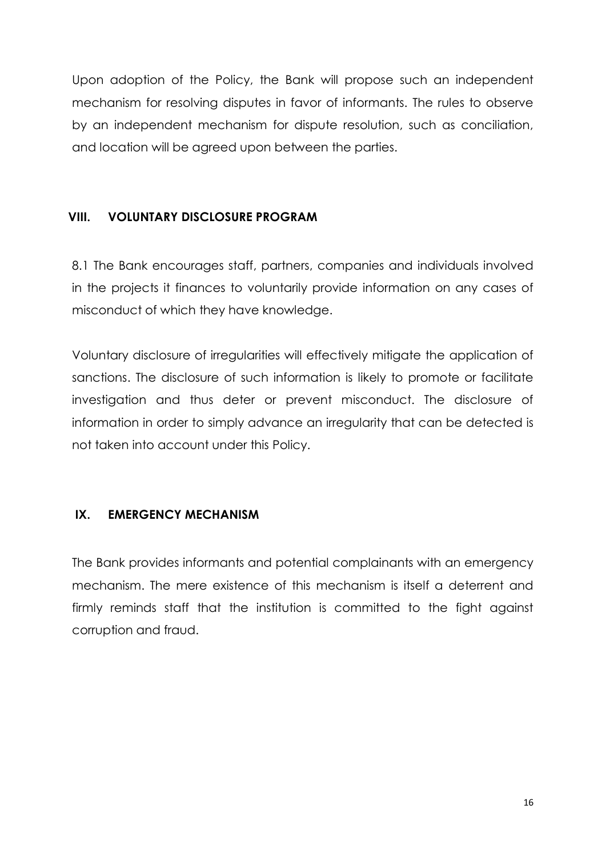Upon adoption of the Policy, the Bank will propose such an independent mechanism for resolving disputes in favor of informants. The rules to observe by an independent mechanism for dispute resolution, such as conciliation, and location will be agreed upon between the parties.

## <span id="page-15-0"></span>**VIII. VOLUNTARY DISCLOSURE PROGRAM**

8.1 The Bank encourages staff, partners, companies and individuals involved in the projects it finances to voluntarily provide information on any cases of misconduct of which they have knowledge.

Voluntary disclosure of irregularities will effectively mitigate the application of sanctions. The disclosure of such information is likely to promote or facilitate investigation and thus deter or prevent misconduct. The disclosure of information in order to simply advance an irregularity that can be detected is not taken into account under this Policy.

# <span id="page-15-1"></span>**IX. EMERGENCY MECHANISM**

The Bank provides informants and potential complainants with an emergency mechanism. The mere existence of this mechanism is itself a deterrent and firmly reminds staff that the institution is committed to the fight against corruption and fraud.